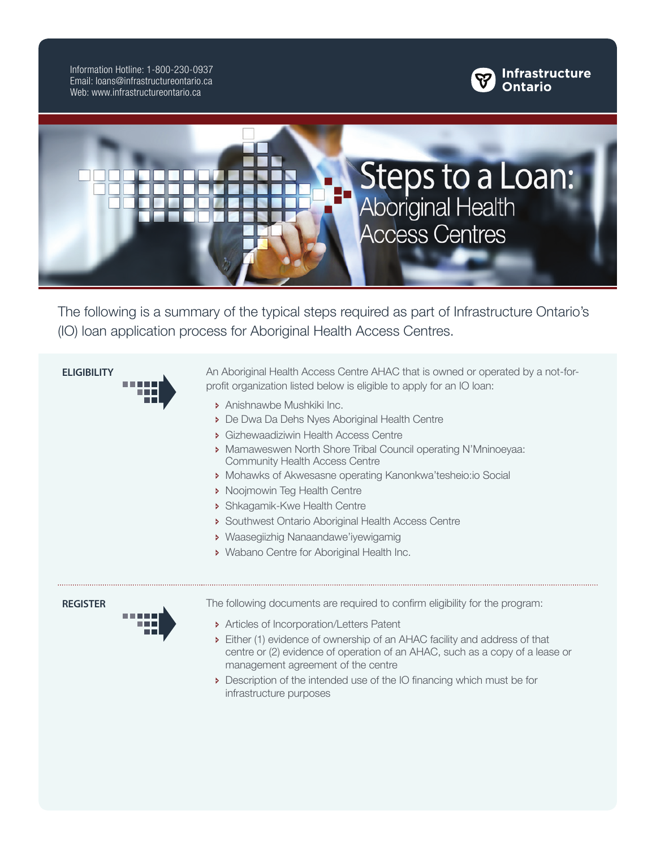Information Hotline: 1-800-230-0937 Email: loans@infrastructureontario.ca Web: www.infrastructureontario.ca





The following is a summary of the typical steps required as part of Infrastructure Ontario's (IO) loan application process for Aboriginal Health Access Centres.